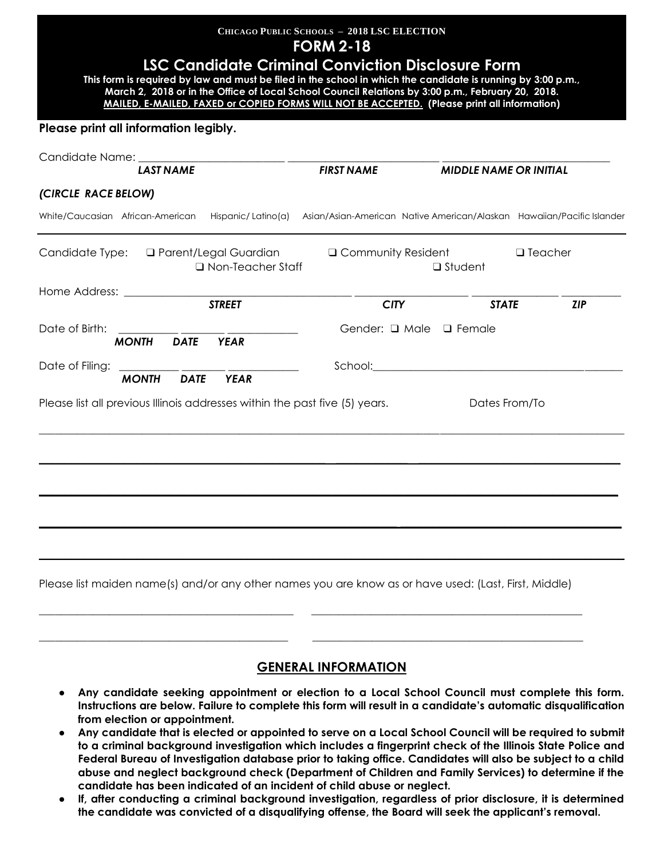| <b>CHICAGO PUBLIC SCHOOLS - 2018 LSC ELECTION</b><br><b>FORM 2-18</b><br><b>LSC Candidate Criminal Conviction Disclosure Form</b><br>This form is required by law and must be filed in the school in which the candidate is running by 3:00 p.m.,<br>March 2, 2018 or in the Office of Local School Council Relations by 3:00 p.m., February 20, 2018.<br><b>MAILED, E-MAILED, FAXED or COPIED FORMS WILL NOT BE ACCEPTED. (Please print all information)</b> |             |                     |                                                                                                       |                |                               |  |  |
|---------------------------------------------------------------------------------------------------------------------------------------------------------------------------------------------------------------------------------------------------------------------------------------------------------------------------------------------------------------------------------------------------------------------------------------------------------------|-------------|---------------------|-------------------------------------------------------------------------------------------------------|----------------|-------------------------------|--|--|
| Please print all information legibly.                                                                                                                                                                                                                                                                                                                                                                                                                         |             |                     |                                                                                                       |                |                               |  |  |
| <b>LAST NAME</b>                                                                                                                                                                                                                                                                                                                                                                                                                                              |             |                     | <b>FIRST NAME</b>                                                                                     |                | <b>MIDDLE NAME OR INITIAL</b> |  |  |
| (CIRCLE RACE BELOW)                                                                                                                                                                                                                                                                                                                                                                                                                                           |             |                     |                                                                                                       |                |                               |  |  |
| White/Caucasian African-American                                                                                                                                                                                                                                                                                                                                                                                                                              |             |                     | Hispanic/Latino(a) Asian/Asian-American Native American/Alaskan Hawaiian/Pacific Islander             |                |                               |  |  |
| Candidate Type: □ Parent/Legal Guardian                                                                                                                                                                                                                                                                                                                                                                                                                       |             | □ Non-Teacher Staff | $\Box$ Community Resident                                                                             | $\Box$ Student | $\Box$ Teacher                |  |  |
| Home Address:                                                                                                                                                                                                                                                                                                                                                                                                                                                 |             | <b>STREET</b>       | <b>CITY</b>                                                                                           |                | <b>STATE</b><br><b>ZIP</b>    |  |  |
| Date of Birth:<br><b>MONTH</b>                                                                                                                                                                                                                                                                                                                                                                                                                                | <b>DATE</b> | <b>YEAR</b>         | Gender: $\Box$ Male $\Box$ Female                                                                     |                |                               |  |  |
| <b>MONTH</b>                                                                                                                                                                                                                                                                                                                                                                                                                                                  | <b>DATE</b> | <b>YEAR</b>         |                                                                                                       |                |                               |  |  |
| Please list all previous Illinois addresses within the past five (5) years.                                                                                                                                                                                                                                                                                                                                                                                   |             |                     |                                                                                                       |                | Dates From/To                 |  |  |
|                                                                                                                                                                                                                                                                                                                                                                                                                                                               |             |                     |                                                                                                       |                |                               |  |  |
|                                                                                                                                                                                                                                                                                                                                                                                                                                                               |             |                     |                                                                                                       |                |                               |  |  |
|                                                                                                                                                                                                                                                                                                                                                                                                                                                               |             |                     |                                                                                                       |                |                               |  |  |
|                                                                                                                                                                                                                                                                                                                                                                                                                                                               |             |                     |                                                                                                       |                |                               |  |  |
|                                                                                                                                                                                                                                                                                                                                                                                                                                                               |             |                     | Please list maiden name(s) and/or any other names you are know as or have used: (Last, First, Middle) |                |                               |  |  |

#### **GENERAL INFORMATION**

\_\_\_\_\_\_\_\_\_\_\_\_\_\_\_\_\_\_\_\_\_\_\_\_\_\_\_\_\_\_\_\_\_\_\_\_\_\_\_\_\_\_\_\_\_\_ \_\_\_\_\_\_\_\_\_\_\_\_\_\_\_\_\_\_\_\_\_\_\_\_\_\_\_\_\_\_\_\_\_\_\_\_\_\_\_\_\_\_\_\_\_\_\_\_\_\_

- **Any candidate seeking appointment or election to a Local School Council must complete this form. Instructions are below. Failure to complete this form will result in a candidate's automatic disqualification from election or appointment.**
- **Any candidate that is elected or appointed to serve on a Local School Council will be required to submit to a criminal background investigation which includes a fingerprint check of the Illinois State Police and Federal Bureau of Investigation database prior to taking office. Candidates will also be subject to a child abuse and neglect background check (Department of Children and Family Services) to determine if the candidate has been indicated of an incident of child abuse or neglect.**
- **If, after conducting a criminal background investigation, regardless of prior disclosure, it is determined the candidate was convicted of a disqualifying offense, the Board will seek the applicant's removal.**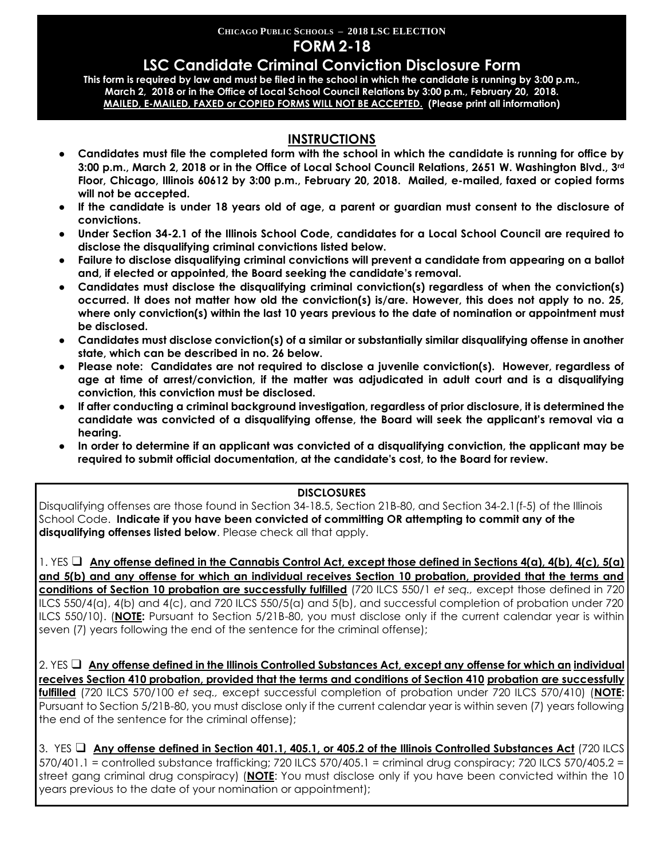# **CHICAGO PUBLIC SCHOOLS – 2018 LSC ELECTION**

## **FORM 2-18**

## **LSC Candidate Criminal Conviction Disclosure Form**

**This form is required by law and must be filed in the school in which the candidate is running by 3:00 p.m., March 2, 2018 or in the Office of Local School Council Relations by 3:00 p.m., February 20, 2018. MAILED, E-MAILED, FAXED or COPIED FORMS WILL NOT BE ACCEPTED. (Please print all information)**

## **INSTRUCTIONS**

- **Candidates must file the completed form with the school in which the candidate is running for office by 3:00 p.m., March 2, 2018 or in the Office of Local School Council Relations, 2651 W. Washington Blvd., 3rd Floor, Chicago, Illinois 60612 by 3:00 p.m., February 20, 2018. Mailed, e-mailed, faxed or copied forms will not be accepted.**
- **If the candidate is under 18 years old of age, a parent or guardian must consent to the disclosure of convictions.**
- Under Section 34-2.1 of the Illinois School Code, candidates for a Local School Council are required to **disclose the disqualifying criminal convictions listed below.**
- **Failure to disclose disqualifying criminal convictions will prevent a candidate from appearing on a ballot and, if elected or appointed, the Board seeking the candidate's removal.**
- **Candidates must disclose the disqualifying criminal conviction(s) regardless of when the conviction(s) occurred. It does not matter how old the conviction(s) is/are. However, this does not apply to no. 25, where only conviction(s) within the last 10 years previous to the date of nomination or appointment must be disclosed.**
- **Candidates must disclose conviction(s) of a similar or substantially similar disqualifying offense in another state, which can be described in no. 26 below.**
- **Please note: Candidates are not required to disclose a juvenile conviction(s). However, regardless of age at time of arrest/conviction, if the matter was adjudicated in adult court and is a disqualifying conviction, this conviction must be disclosed.**
- **If after conducting a criminal background investigation, regardless of prior disclosure, it is determined the candidate was convicted of a disqualifying offense, the Board will seek the applicant's removal via a hearing.**
- **In order to determine if an applicant was convicted of a disqualifying conviction, the applicant may be required to submit official documentation, at the candidate's cost, to the Board for review.**

#### **DISCLOSURES**

Disqualifying offenses are those found in Section 34-18.5, Section 21B-80, and Section 34-2.1(f-5) of the Illinois School Code. **Indicate if you have been convicted of committing OR attempting to commit any of the disqualifying offenses listed below**. Please check all that apply.

1. YES ❑ **Any offense defined in the Cannabis Control Act, except those defined in Sections 4(a), 4(b), 4(c), 5(a) and 5(b) and any offense for which an individual receives Section 10 probation, provided that the terms and conditions of Section 10 probation are successfully fulfilled** (720 ILCS 550/1 *et seq.,* except those defined in 720 ILCS 550/4(a), 4(b) and 4(c), and 720 ILCS 550/5(a) and 5(b), and successful completion of probation under 720 ILCS 550/10). (**NOTE:** Pursuant to Section 5/21B-80, you must disclose only if the current calendar year is within seven (7) years following the end of the sentence for the criminal offense);

2. YES ❑ **Any offense defined in the Illinois Controlled Substances Act, except any offense for which an individual receives Section 410 probation, provided that the terms and conditions of Section 410 probation are successfully fulfilled** (720 ILCS 570/100 *et seq.,* except successful completion of probation under 720 ILCS 570/410) (**NOTE:** Pursuant to Section 5/21B-80, you must disclose only if the current calendar year is within seven (7) years following the end of the sentence for the criminal offense);

3. YES ❑ **Any offense defined in Section 401.1, 405.1, or 405.2 of the Illinois Controlled Substances Act** (720 ILCS 570/401.1 = controlled substance trafficking; 720 ILCS 570/405.1 = criminal drug conspiracy; 720 ILCS 570/405.2 = street gang criminal drug conspiracy) (**NOTE**: You must disclose only if you have been convicted within the 10 years previous to the date of your nomination or appointment);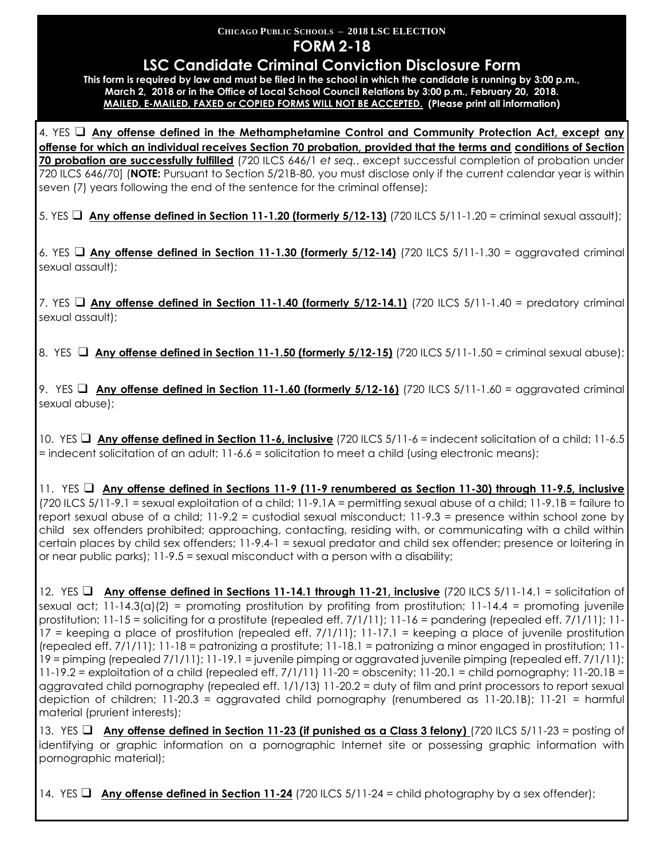#### **CHICAGO PUBLIC SCHOOLS – 2018 LSC ELECTION FORM 2-18**

# **LSC Candidate Criminal Conviction Disclosure Form**

**This form is required by law and must be filed in the school in which the candidate is running by 3:00 p.m., March 2, 2018 or in the Office of Local School Council Relations by 3:00 p.m., February 20, 2018. MAILED, E-MAILED, FAXED or COPIED FORMS WILL NOT BE ACCEPTED. (Please print all information)**

4. YES ❑ **Any offense defined in the Methamphetamine Control and Community Protection Act, except any offense for which an individual receives Section 70 probation, provided that the terms and conditions of Section 70 probation are successfully fulfilled** (720 ILCS 646/1 *et seq.*, except successful completion of probation under 720 ILCS 646/70] (**NOTE:** Pursuant to Section 5/21B-80, you must disclose only if the current calendar year is within seven (7) years following the end of the sentence for the criminal offense);

5. YES ❑ **Any offense defined in Section 11-1.20 (formerly 5/12-13)** (720 ILCS 5/11-1.20 = criminal sexual assault);

6. YES ❑ **Any offense defined in Section 11-1.30 (formerly 5/12-14)** (720 ILCS 5/11-1.30 = aggravated criminal sexual assault);

7. YES ❑ **Any offense defined in Section 11-1.40 (formerly 5/12-14.1)** (720 ILCS 5/11-1.40 = predatory criminal sexual assault);

8. YES **□ Any offense defined in Section 11-1.50 (formerly 5/12-15)** (720 ILCS 5/11-1.50 = criminal sexual abuse);

9. YES ❑ **Any offense defined in Section 11-1.60 (formerly 5/12-16)** (720 ILCS 5/11-1.60 = aggravated criminal sexual abuse);

10. YES ❑ **Any offense defined in Section 11-6, inclusive** (720 ILCS 5/11-6 = indecent solicitation of a child; 11-6.5 = indecent solicitation of an adult; 11-6.6 = solicitation to meet a child (using electronic means);

11. YES ❑ **Any offense defined in Sections 11-9 (11-9 renumbered as Section 11-30) through 11-9.5, inclusive** (720 ILCS 5/11-9.1 = sexual exploitation of a child; 11-9.1A = permitting sexual abuse of a child; 11-9.1B = failure to report sexual abuse of a child; 11-9.2 = custodial sexual misconduct; 11-9.3 = presence within school zone by child sex offenders prohibited; approaching, contacting, residing with, or communicating with a child within certain places by child sex offenders; 11-9.4-1 = sexual predator and child sex offender; presence or loitering in or near public parks); 11-9.5 = sexual misconduct with a person with a disability;

12. YES ❑ **Any offense defined in Sections 11-14.1 through 11-21, inclusive** (720 ILCS 5/11-14.1 = solicitation of sexual act; 11-14.3(a)(2) = promoting prostitution by profiting from prostitution; 11-14.4 = promoting juvenile prostitution; 11-15 = soliciting for a prostitute (repealed eff. 7/1/11); 11-16 = pandering (repealed eff. 7/1/11); 11-17 = keeping a place of prostitution (repealed eff. 7/1/11); 11-17.1 = keeping a place of juvenile prostitution (repealed eff. 7/1/11); 11-18 = patronizing a prostitute; 11-18.1 = patronizing a minor engaged in prostitution; 11- 19 = pimping (repealed 7/1/11); 11-19.1 = juvenile pimping or aggravated juvenile pimping (repealed eff. 7/1/11); 11-19.2 = exploitation of a child (repealed eff. 7/1/11) 11-20 = obscenity; 11-20.1 = child pornography; 11-20.1B = aggravated child pornography (repealed eff. 1/1/13) 11-20.2 = duty of film and print processors to report sexual depiction of children; 11-20.3 = aggravated child pornography (renumbered as 11-20.1B); 11-21 = harmful material (prurient interests);

13. YES ❑ **Any offense defined in Section 11-23 (if punished as a Class 3 felony)** (720 ILCS 5/11-23 = posting of identifying or graphic information on a pornographic Internet site or possessing graphic information with pornographic material);

14. YES ❑ **Any offense defined in Section 11-24** (720 ILCS 5/11-24 = child photography by a sex offender);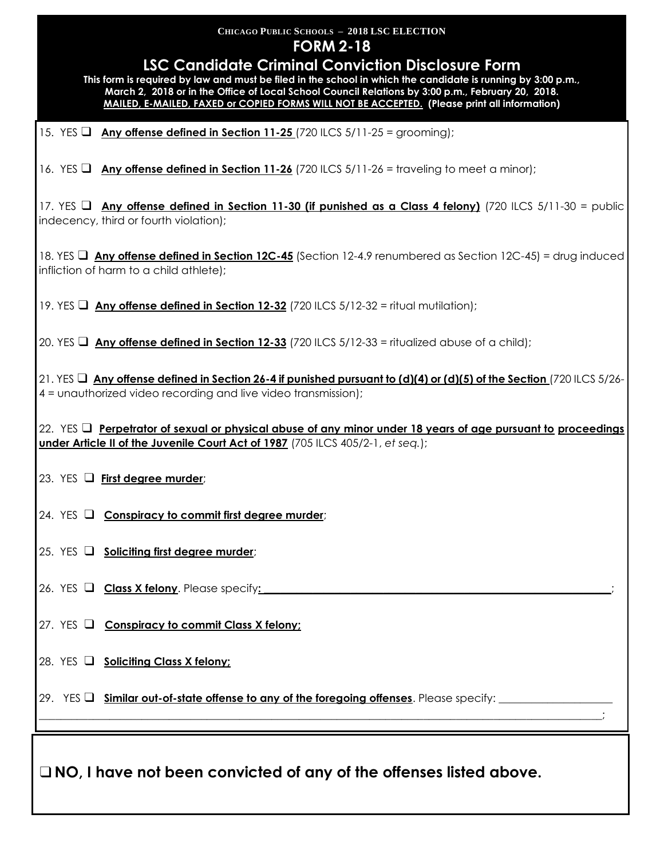# **CHICAGO PUBLIC SCHOOLS – 2018 LSC ELECTION FORM 2-18 LSC Candidate Criminal Conviction Disclosure Form This form is required by law and must be filed in the school in which the candidate is running by 3:00 p.m., March 2, 2018 or in the Office of Local School Council Relations by 3:00 p.m., February 20, 2018. MAILED, E-MAILED, FAXED or COPIED FORMS WILL NOT BE ACCEPTED. (Please print all information)** 15. YES ❑ **Any offense defined in Section 11-25** (720 ILCS 5/11-25 = grooming); 16. YES ❑ **Any offense defined in Section 11-26** (720 ILCS 5/11-26 = traveling to meet a minor); 17. YES ❑ **Any offense defined in Section 11-30 (if punished as a Class 4 felony)** (720 ILCS 5/11-30 = public indecency, third or fourth violation); 18. YES ❑ **Any offense defined in Section 12C-45** (Section 12-4.9 renumbered as Section 12C-45) = drug induced infliction of harm to a child athlete); 19. YES ❑ **Any offense defined in Section 12-32** (720 ILCS 5/12-32 = ritual mutilation); 20. YES ❑ **Any offense defined in Section 12-33** (720 ILCS 5/12-33 = ritualized abuse of a child); 21. YES ❑ **Any offense defined in Section 26-4 if punished pursuant to (d)(4) or (d)(5) of the Section** (720 ILCS 5/26- 4 = unauthorized video recording and live video transmission); 22. YES ❑ **Perpetrator of sexual or physical abuse of any minor under 18 years of age pursuant to proceedings under Article II of the Juvenile Court Act of 1987** (705 ILCS 405/2-1, *et seq.*); 23. YES ❑ **First degree murder**; 24. YES ❑ **Conspiracy to commit first degree murder**; 25. YES ❑ **Soliciting first degree murder**; 26. YES **□ Class X felony**. Please specify: 27. YES ❑ **Conspiracy to commit Class X felony;** 28. YES ❑ **Soliciting Class X felony;** 29. YES **□** Similar out-of-state offense to any of the foregoing offenses. Please specify: \_\_\_\_\_\_\_\_\_\_\_\_\_\_\_\_\_\_\_\_\_\_\_\_\_\_\_\_\_\_\_\_\_\_\_\_\_\_\_\_\_\_\_\_\_\_\_\_\_\_\_\_\_\_\_\_\_\_\_\_\_\_\_\_\_\_\_\_\_\_\_\_\_\_\_\_\_\_\_\_\_\_\_\_\_\_\_\_\_\_\_\_\_\_\_\_\_\_\_\_\_\_\_\_; ❑**NO, I have not been convicted of any of the offenses listed above.**